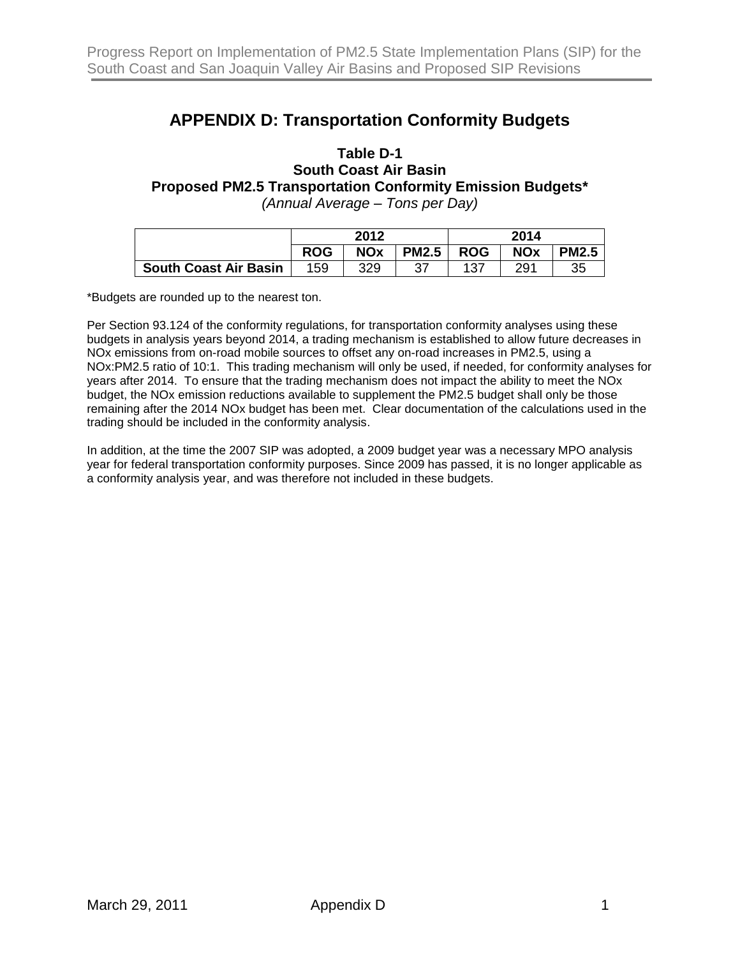## **APPENDIX D: Transportation Conformity Budgets**

## **Table D-1 South Coast Air Basin Proposed PM2.5 Transportation Conformity Emission Budgets\*** *(Annual Average – Tons per Day)*

|                              | 2012       |            |              | 2014       |            |              |
|------------------------------|------------|------------|--------------|------------|------------|--------------|
|                              | <b>ROG</b> | <b>NOx</b> | <b>PM2.5</b> | <b>ROG</b> | <b>NOx</b> | <b>PM2.5</b> |
| <b>South Coast Air Basin</b> | 159        | 329        | 37           | 137        | 291        | 35           |

\*Budgets are rounded up to the nearest ton.

Per Section 93.124 of the conformity regulations, for transportation conformity analyses using these budgets in analysis years beyond 2014, a trading mechanism is established to allow future decreases in NOx emissions from on-road mobile sources to offset any on-road increases in PM2.5, using a NOx:PM2.5 ratio of 10:1. This trading mechanism will only be used, if needed, for conformity analyses for years after 2014. To ensure that the trading mechanism does not impact the ability to meet the NOx budget, the NOx emission reductions available to supplement the PM2.5 budget shall only be those remaining after the 2014 NOx budget has been met. Clear documentation of the calculations used in the trading should be included in the conformity analysis.

In addition, at the time the 2007 SIP was adopted, a 2009 budget year was a necessary MPO analysis year for federal transportation conformity purposes. Since 2009 has passed, it is no longer applicable as a conformity analysis year, and was therefore not included in these budgets.